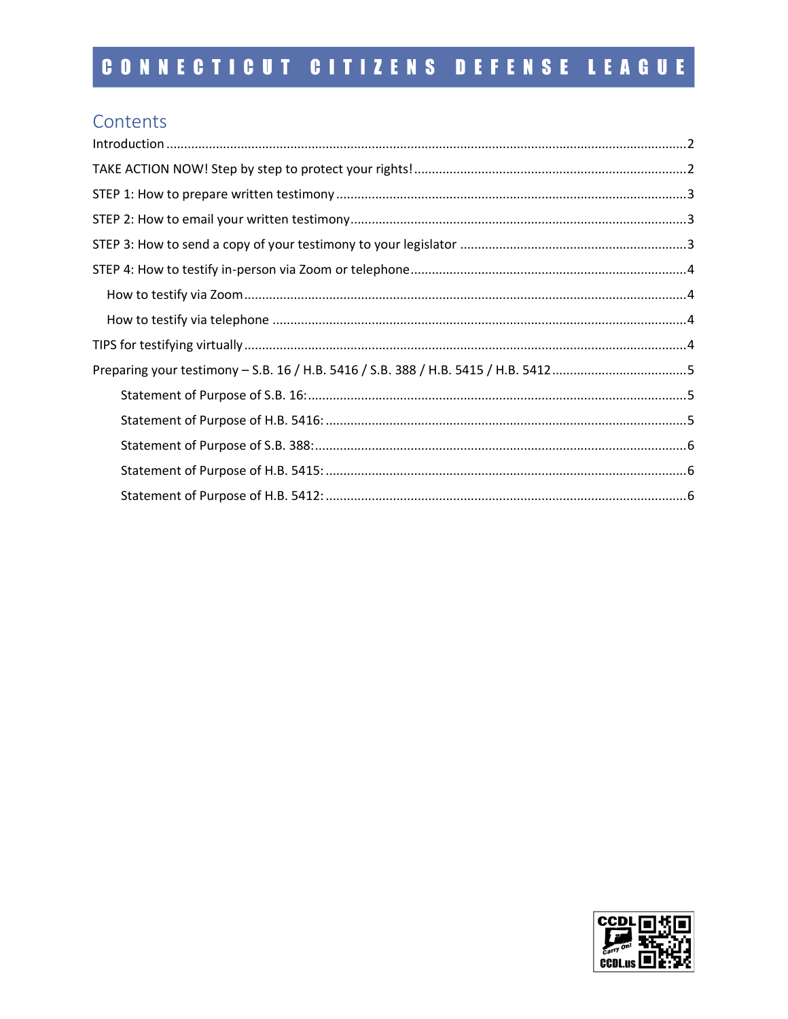## Contents

| $\label{lem:1} \mbox{Introduction} \,\, \ldots \,\, \ldots \,\, \ldots \,\, \ldots \,\, \ldots \,\, \ldots \,\, \ldots \,\, \ldots \,\, \ldots \,\, \ldots \,\, \ldots \,\, \ldots \,\, \ldots \,\, \ldots \,\, \ldots \,\, \ldots \,\, \ldots \,\, \ldots \,\, \ldots \,\, \ldots \,\, \ldots \,\, \ldots \,\, \ldots \,\, \ldots \,\, \ldots \,\, \ldots \,\, \ldots \,\, \ldots \,\, \ldots \,\, \ldots \,\, \ldots \,\, \ldots \,\, \ldots \,\, \ldots \,\,$ |  |
|------------------------------------------------------------------------------------------------------------------------------------------------------------------------------------------------------------------------------------------------------------------------------------------------------------------------------------------------------------------------------------------------------------------------------------------------------------------|--|
|                                                                                                                                                                                                                                                                                                                                                                                                                                                                  |  |
|                                                                                                                                                                                                                                                                                                                                                                                                                                                                  |  |
|                                                                                                                                                                                                                                                                                                                                                                                                                                                                  |  |
|                                                                                                                                                                                                                                                                                                                                                                                                                                                                  |  |
|                                                                                                                                                                                                                                                                                                                                                                                                                                                                  |  |
|                                                                                                                                                                                                                                                                                                                                                                                                                                                                  |  |
|                                                                                                                                                                                                                                                                                                                                                                                                                                                                  |  |
|                                                                                                                                                                                                                                                                                                                                                                                                                                                                  |  |
| Preparing your testimony - S.B. 16 / H.B. 5416 / S.B. 388 / H.B. 5415 / H.B. 54125                                                                                                                                                                                                                                                                                                                                                                               |  |
|                                                                                                                                                                                                                                                                                                                                                                                                                                                                  |  |
|                                                                                                                                                                                                                                                                                                                                                                                                                                                                  |  |
|                                                                                                                                                                                                                                                                                                                                                                                                                                                                  |  |
|                                                                                                                                                                                                                                                                                                                                                                                                                                                                  |  |
|                                                                                                                                                                                                                                                                                                                                                                                                                                                                  |  |

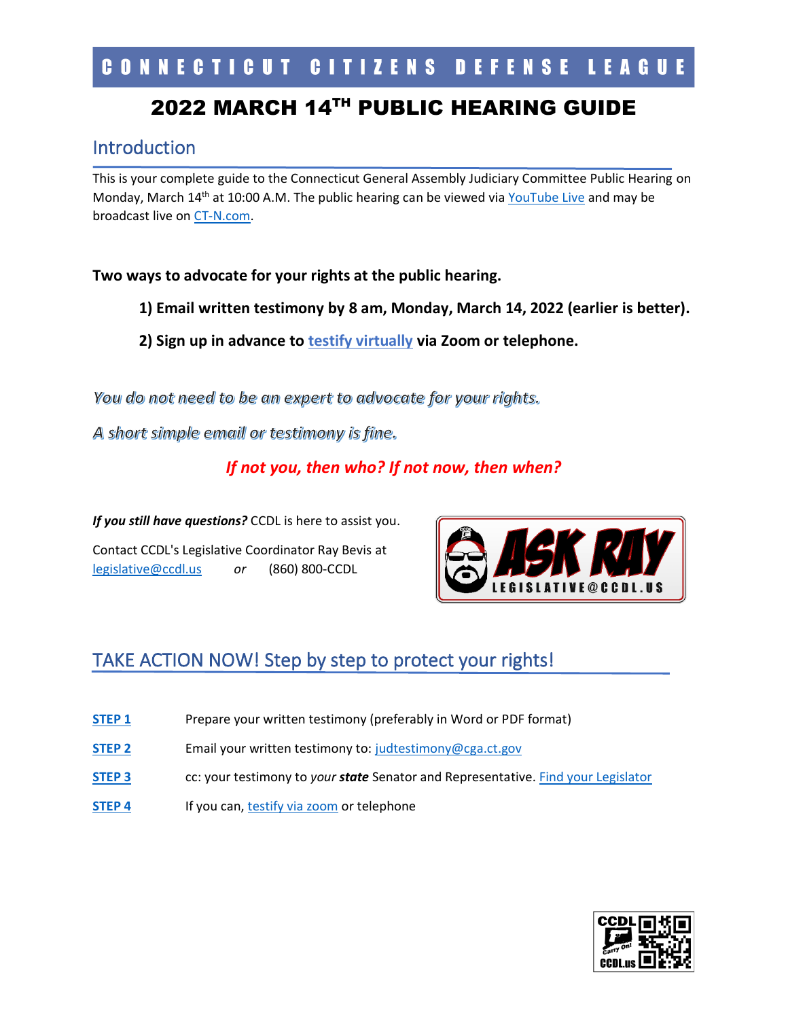# 2022 MARCH 14TH PUBLIC HEARING GUIDE

## <span id="page-1-0"></span>Introduction

This is your complete guide to the Connecticut General Assembly Judiciary Committee Public Hearing on Monday, March 14<sup>th</sup> at 10:00 A.M. The public hearing can be viewed via [YouTube Live](https://www.youtube.com/channel/UCaZ1ujQWzOqbtQaQp7ZBxbA) and may be broadcast live on [CT-N.com.](https://ct-n.com/)

### **Two ways to advocate for your rights at the public hearing.**

- **1) Email written testimony by 8 am, Monday, March 14, 2022 (earlier is better).**
- **2) Sign up in advance to [testify virtually](https://zoom.us/webinar/register/WN_ql66Qt7tTCGANmR2QRDQ5w) via Zoom or telephone.**

You do not need to be an expert to advocate for your rights.

A short simple email or testimony is fine.

## *If not you, then who? If not now, then when?*

*If you still have questions?* CCDL is here to assist you.

Contact CCDL's Legislative Coordinator Ray Bevis at [legislative@ccdl.us](mailto:legislative@ccdl.us) *or* (860) 800-CCDL



# <span id="page-1-1"></span>TAKE ACTION NOW! Step by step to protect your rights!

- **[STEP 1](#page-2-0)** Prepare your written testimony (preferably in Word or PDF format)
- **[STEP 2](#page-2-1)** Email your written testimony to: [judtestimony@cga.ct.gov](mailto:judtestimony@cga.ct.gov)
- **[STEP 3](#page-2-2)** cc: your testimony to *your state* Senator and Representative. [Find your Legislator](https://www.cga.ct.gov/asp/menu/cgafindleg.asp)
- **[STEP 4](#page-3-0)** If you can[, testify via zoom](https://zoom.us/webinar/register/WN_ql66Qt7tTCGANmR2QRDQ5w) or telephone

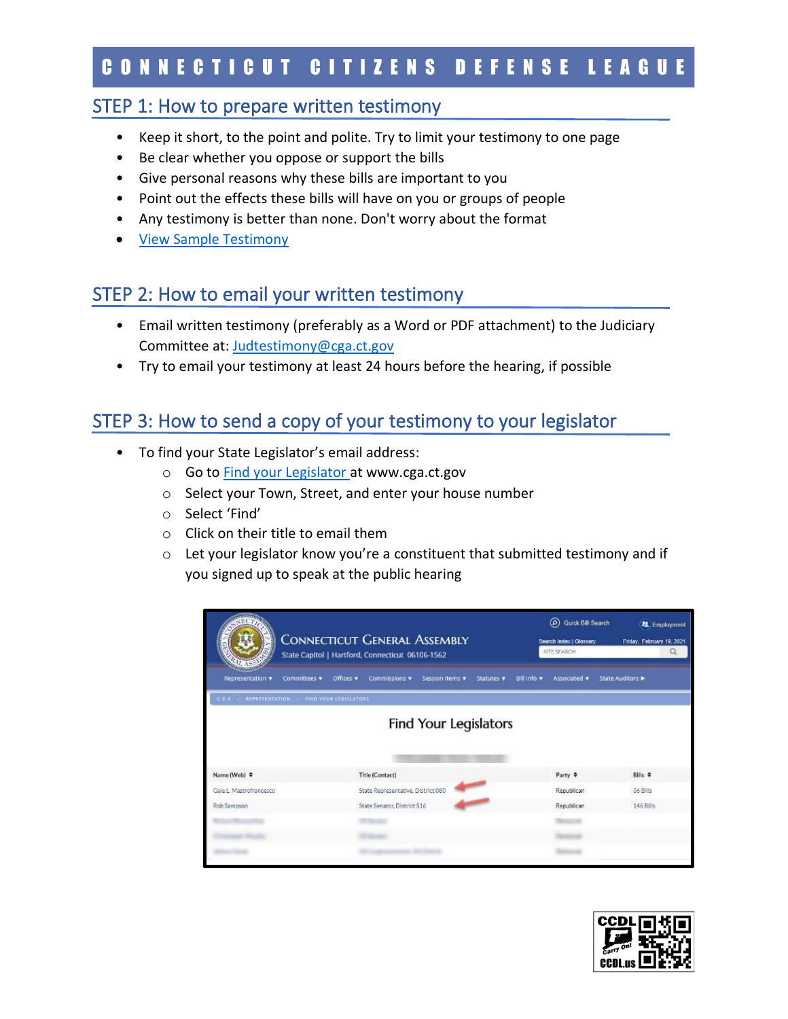## STEP 1: How to prepare written testimony

- <span id="page-2-0"></span>• Keep it short, to the point and polite. Try to limit your testimony to one page
- Be clear whether you oppose or support the bills
- Give personal reasons why these bills are important to you
- Point out the effects these bills will have on you or groups of people
- Any testimony is better than none. Don't worry about the format
- [View Sample Testimony](https://ccdl.us/2022-action-alert---public-hearing-on-gun-bills)

## STEP 2: How to email your written testimony

- <span id="page-2-1"></span>• Email written testimony (preferably as a Word or PDF attachment) to the Judiciary Committee at: [Judtestimony@cga.ct.gov](mailto:Judtestimony@cga.ct.gov)
- Try to email your testimony at least 24 hours before the hearing, if possible

# STEP 3: How to send a copy of your testimony to your legislator

- <span id="page-2-2"></span>• To find your State Legislator's email address:
	- o Go to [Find your Legislator a](https://www.cga.ct.gov/asp/menu/cgafindleg.asp)t www.cga.ct.gov
	- o Select your Town, Street, and enter your house number
	- o Select 'Find'
	- o Click on their title to email them
	- o Let your legislator know you're a constituent that submitted testimony and if you signed up to speak at the public hearing

|                                                 | <b>CONNECTICUT GENERAL ASSEMBLY</b><br>State Capitol   Hartford, Connecticut 06106-1562 |                                    |                              |            | (Q) Quick Bill Search<br>Search Index   Clossary<br>SITE SEARCH |                    | <b>红</b> Employment<br>Friday, February 19, 2021<br>$\alpha$ |  |
|-------------------------------------------------|-----------------------------------------------------------------------------------------|------------------------------------|------------------------------|------------|-----------------------------------------------------------------|--------------------|--------------------------------------------------------------|--|
| Representation v                                | Committees v                                                                            | Offices v<br>Commissions v         | Session Items                | Statutes v | <b>Bill Info</b> v                                              | Associated v       | State Auditors                                               |  |
| C.G.A. / REPRESENTATION / FIND VOUR LEGISLATORS |                                                                                         |                                    |                              |            |                                                                 |                    |                                                              |  |
| Name (Web) $\div$                               |                                                                                         | Title (Contact)                    | <b>Find Your Legislators</b> |            |                                                                 | Party $\triangleq$ | Bills $\div$                                                 |  |
| Gale L. Mastrofrancesco                         |                                                                                         | State Representative, District 080 |                              |            |                                                                 | Republican         | 36 Bills                                                     |  |
| Rob Sampson                                     |                                                                                         | State Senator, District S16        |                              |            |                                                                 | Republican         | 146 Bills                                                    |  |
|                                                 |                                                                                         |                                    |                              |            |                                                                 |                    |                                                              |  |
|                                                 |                                                                                         |                                    |                              |            |                                                                 |                    |                                                              |  |
|                                                 |                                                                                         |                                    |                              |            |                                                                 |                    |                                                              |  |

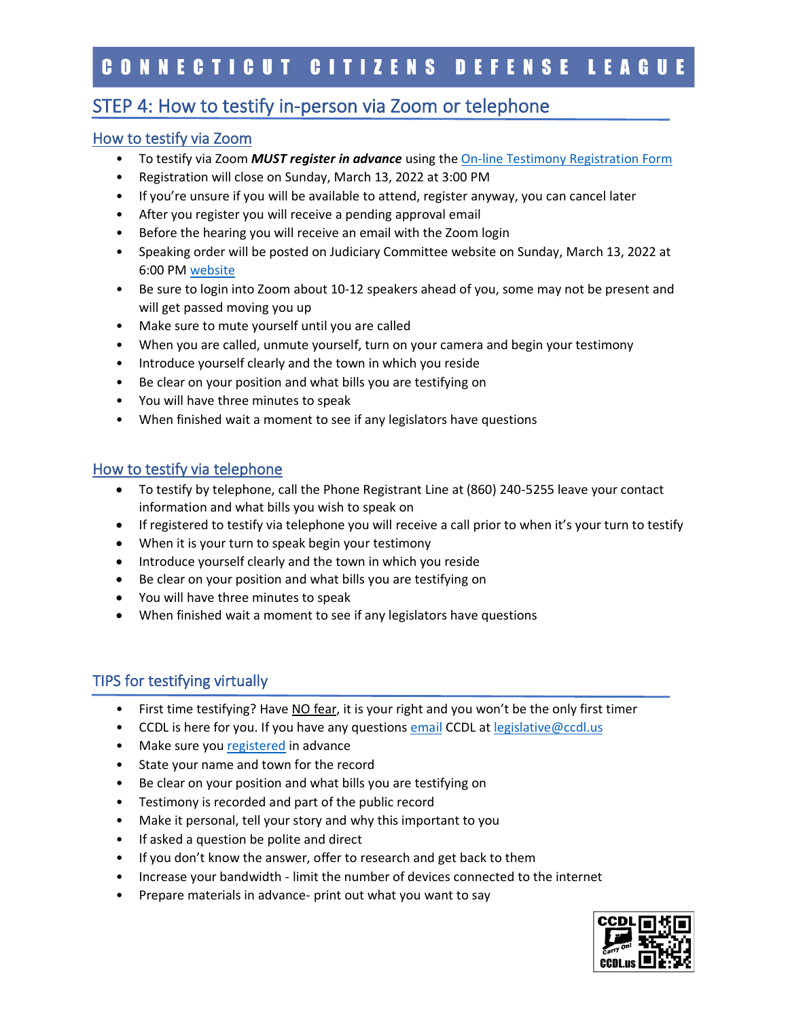## STEP 4: How to testify in-person via Zoom or telephone

#### <span id="page-3-0"></span>How to testify via Zoom

- To testify via Zoom *MUST register in advance* using th[e On-line Testimony Registration Form](https://zoom.us/webinar/register/WN_ql66Qt7tTCGANmR2QRDQ5w)
- Registration will close on Sunday, March 13, 2022 at 3:00 PM
- If you're unsure if you will be available to attend, register anyway, you can cancel later
- After you register you will receive a pending approval email
- Before the hearing you will receive an email with the Zoom login
- Speaking order will be posted on Judiciary Committee website on Sunday, March 13, 2022 at 6:00 P[M website](https://www.cga.ct.gov/asp/menu/CommDocTmy.asp?comm_code=jud&date=03/14/2022)
- Be sure to login into Zoom about 10-12 speakers ahead of you, some may not be present and will get passed moving you up
- Make sure to mute yourself until you are called
- When you are called, unmute yourself, turn on your camera and begin your testimony
- Introduce yourself clearly and the town in which you reside
- Be clear on your position and what bills you are testifying on
- You will have three minutes to speak
- When finished wait a moment to see if any legislators have questions

### <span id="page-3-1"></span>How to testify via telephone

- To testify by telephone, call the Phone Registrant Line at (860) 240-5255 leave your contact information and what bills you wish to speak on
- If registered to testify via telephone you will receive a call prior to when it's your turn to testify
- When it is your turn to speak begin your testimony
- Introduce yourself clearly and the town in which you reside
- Be clear on your position and what bills you are testifying on
- You will have three minutes to speak
- When finished wait a moment to see if any legislators have questions

### <span id="page-3-2"></span>TIPS for testifying virtually

- First time testifying? Have NO fear, it is your right and you won't be the only first timer
- CCDL is here for you. If you have any questions [email](mailto:legislative@ccdl.us?subject=Question%20about%20the%20Public%20Hearing) CCDL a[t legislative@ccdl.us](mailto:legislative@ccdl.us)
- Make sure yo[u registered](https://zoom.us/webinar/register/WN_ql66Qt7tTCGANmR2QRDQ5w) in advance
- State your name and town for the record
- Be clear on your position and what bills you are testifying on
- Testimony is recorded and part of the public record
- Make it personal, tell your story and why this important to you
- If asked a question be polite and direct
- If you don't know the answer, offer to research and get back to them
- Increase your bandwidth limit the number of devices connected to the internet
- Prepare materials in advance- print out what you want to say

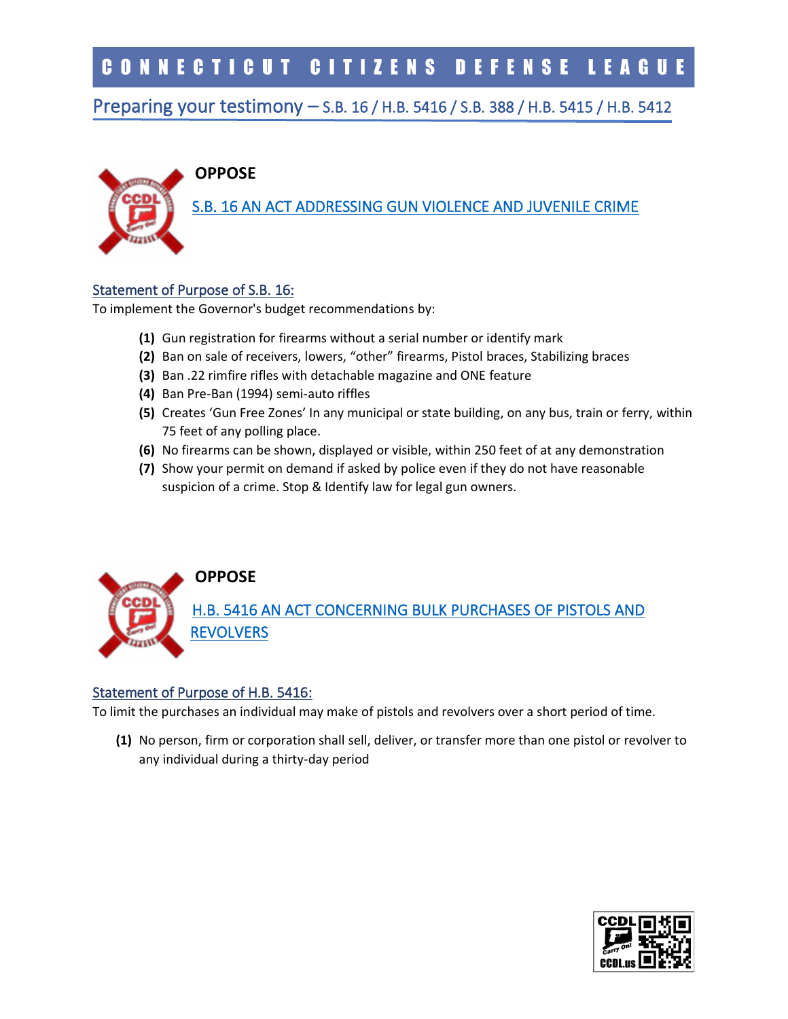## <span id="page-4-0"></span>Preparing your testimony – S.B. 16 / H.B. 5416 / S.B. 388 / H.B. 5415 / H.B. 5412

# **OPPOSE**

[S.B. 16 AN ACT ADDRESSING GUN VIOLENCE AND JUVENILE CRIME](https://www.cga.ct.gov/asp/cgabillstatus/cgabillstatus.asp?selBillType=Bill&which_year=2022&bill_num=16)

#### <span id="page-4-1"></span>Statement of Purpose of S.B. 16:

To implement the Governor's budget recommendations by:

- **(1)** Gun registration for firearms without a serial number or identify mark
- **(2)** Ban on sale of receivers, lowers, "other" firearms, Pistol braces, Stabilizing braces
- **(3)** Ban .22 rimfire rifles with detachable magazine and ONE feature
- **(4)** Ban Pre-Ban (1994) semi-auto riffles
- **(5)** Creates 'Gun Free Zones' In any municipal or state building, on any bus, train or ferry, within 75 feet of any polling place.
- **(6)** No firearms can be shown, displayed or visible, within 250 feet of at any demonstration
- **(7)** Show your permit on demand if asked by police even if they do not have reasonable suspicion of a crime. Stop & Identify law for legal gun owners.



#### <span id="page-4-2"></span>Statement of Purpose of H.B. 5416:

To limit the purchases an individual may make of pistols and revolvers over a short period of time.

**(1)** No person, firm or corporation shall sell, deliver, or transfer more than one pistol or revolver to any individual during a thirty-day period